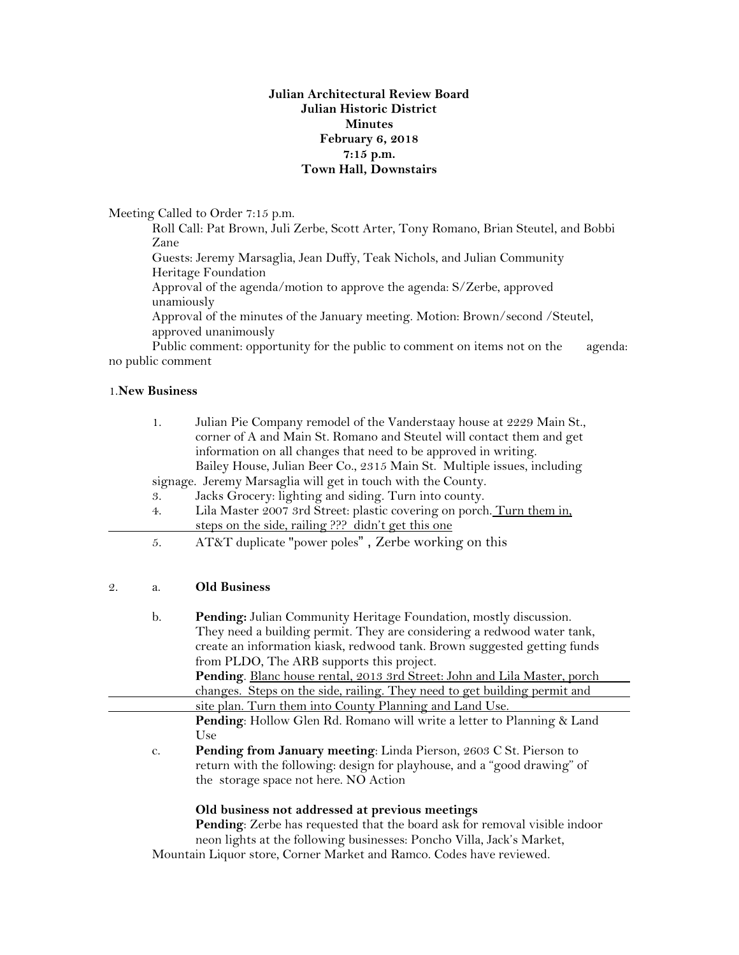### **Julian Architectural Review Board Julian Historic District Minutes February 6, 2018 7:15 p.m. Town Hall, Downstairs**

Meeting Called to Order 7:15 p.m.

Roll Call: Pat Brown, Juli Zerbe, Scott Arter, Tony Romano, Brian Steutel, and Bobbi Zane

Guests: Jeremy Marsaglia, Jean Duffy, Teak Nichols, and Julian Community Heritage Foundation

Approval of the agenda/motion to approve the agenda: S/Zerbe, approved unamiously

Approval of the minutes of the January meeting. Motion: Brown/second /Steutel, approved unanimously

Public comment: opportunity for the public to comment on items not on the agenda: no public comment

#### 1.**New Business**

| 1.                                                           | Julian Pie Company remodel of the Vanderstaay house at 2229 Main St.,   |
|--------------------------------------------------------------|-------------------------------------------------------------------------|
|                                                              | corner of A and Main St. Romano and Steutel will contact them and get   |
|                                                              | information on all changes that need to be approved in writing.         |
|                                                              | Bailey House, Julian Beer Co., 2315 Main St. Multiple issues, including |
| signage. Jeremy Marsaglia will get in touch with the County. |                                                                         |
| 3.                                                           | Jacks Grocery: lighting and siding. Turn into county.                   |
| 4.                                                           | Lila Master 2007 3rd Street: plastic covering on porch. Turn them in,   |
|                                                              | steps on the side, railing ??? didn't get this one                      |
| 5.                                                           | AT&T duplicate "power poles", Zerbe working on this                     |

#### 2. a. **Old Business**

| b. | Pending: Julian Community Heritage Foundation, mostly discussion.<br>They need a building permit. They are considering a redwood water tank,<br>create an information kiask, redwood tank. Brown suggested getting funds |
|----|--------------------------------------------------------------------------------------------------------------------------------------------------------------------------------------------------------------------------|
|    | from PLDO, The ARB supports this project.                                                                                                                                                                                |
|    | Pending. Blanc house rental, 2013 3rd Street: John and Lila Master, porch                                                                                                                                                |
|    | changes. Steps on the side, railing. They need to get building permit and                                                                                                                                                |
|    | site plan. Turn them into County Planning and Land Use.                                                                                                                                                                  |
|    | Pending: Hollow Glen Rd. Romano will write a letter to Planning & Land                                                                                                                                                   |
|    | Use                                                                                                                                                                                                                      |
| C. | Pending from January meeting: Linda Pierson, 2603 C St. Pierson to                                                                                                                                                       |
|    | return with the following: design for playhouse, and a "good drawing" of                                                                                                                                                 |
|    | the storage space not here. NO Action                                                                                                                                                                                    |
|    |                                                                                                                                                                                                                          |

## **Old business not addressed at previous meetings**

**Pending**: Zerbe has requested that the board ask for removal visible indoor neon lights at the following businesses: Poncho Villa, Jack's Market,

Mountain Liquor store, Corner Market and Ramco. Codes have reviewed.